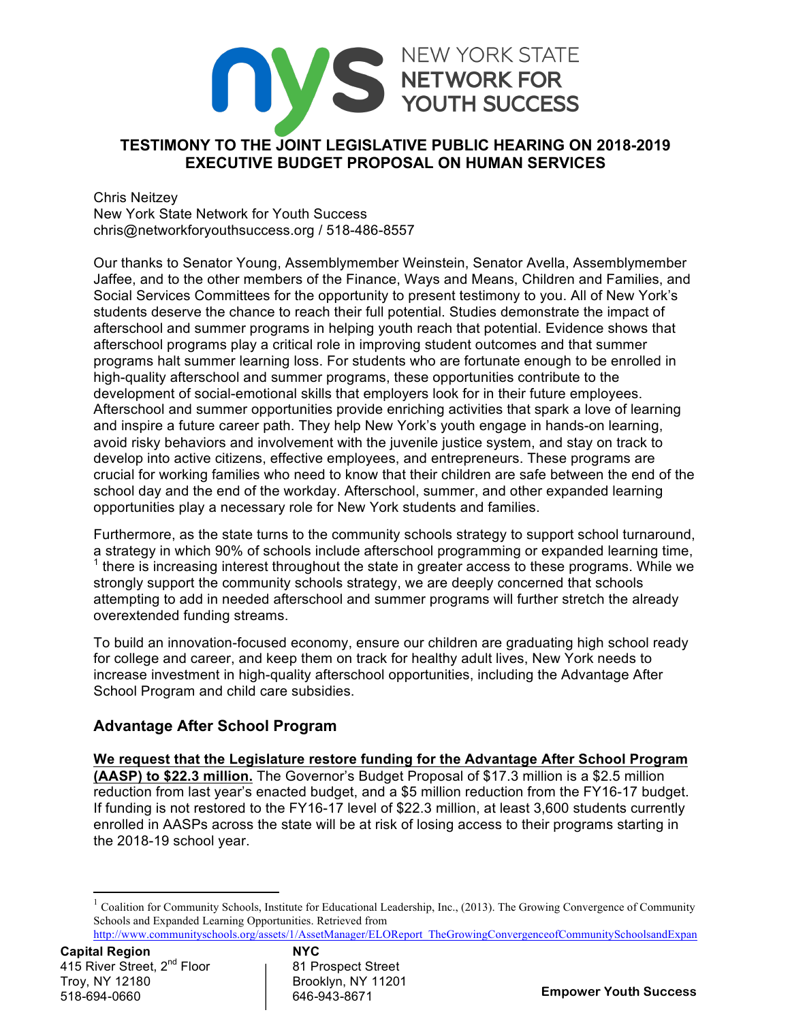# NEW YORK STATE **TESTIMONY TO THE JOINT LEGISLATIVE PUBLIC HEARING ON 2018-2019 EXECUTIVE BUDGET PROPOSAL ON HUMAN SERVICES**

Chris Neitzey New York State Network for Youth Success chris@networkforyouthsuccess.org / 518-486-8557

Our thanks to Senator Young, Assemblymember Weinstein, Senator Avella, Assemblymember Jaffee, and to the other members of the Finance, Ways and Means, Children and Families, and Social Services Committees for the opportunity to present testimony to you. All of New York's students deserve the chance to reach their full potential. Studies demonstrate the impact of afterschool and summer programs in helping youth reach that potential. Evidence shows that afterschool programs play a critical role in improving student outcomes and that summer programs halt summer learning loss. For students who are fortunate enough to be enrolled in high-quality afterschool and summer programs, these opportunities contribute to the development of social-emotional skills that employers look for in their future employees. Afterschool and summer opportunities provide enriching activities that spark a love of learning and inspire a future career path. They help New York's youth engage in hands-on learning, avoid risky behaviors and involvement with the juvenile justice system, and stay on track to develop into active citizens, effective employees, and entrepreneurs. These programs are crucial for working families who need to know that their children are safe between the end of the school day and the end of the workday. Afterschool, summer, and other expanded learning opportunities play a necessary role for New York students and families.

Furthermore, as the state turns to the community schools strategy to support school turnaround, a strategy in which 90% of schools include afterschool programming or expanded learning time,  $1$  there is increasing interest throughout the state in greater access to these programs. While we strongly support the community schools strategy, we are deeply concerned that schools attempting to add in needed afterschool and summer programs will further stretch the already overextended funding streams.

To build an innovation-focused economy, ensure our children are graduating high school ready for college and career, and keep them on track for healthy adult lives, New York needs to increase investment in high-quality afterschool opportunities, including the Advantage After School Program and child care subsidies.

## **Advantage After School Program**

<u> 1989 - Jan Samuel Barbara, político establecido de la provincia de la provincia de la provincia de la provinci</u>

**We request that the Legislature restore funding for the Advantage After School Program (AASP) to \$22.3 million.** The Governor's Budget Proposal of \$17.3 million is a \$2.5 million reduction from last year's enacted budget, and a \$5 million reduction from the FY16-17 budget. If funding is not restored to the FY16-17 level of \$22.3 million, at least 3,600 students currently enrolled in AASPs across the state will be at risk of losing access to their programs starting in the 2018-19 school year.

 $1$  Coalition for Community Schools, Institute for Educational Leadership, Inc., (2013). The Growing Convergence of Community Schools and Expanded Learning Opportunities. Retrieved from

http://www.communityschools.org/assets/1/AssetManager/ELOReport\_TheGrowingConvergenceofCommunitySchoolsandExpan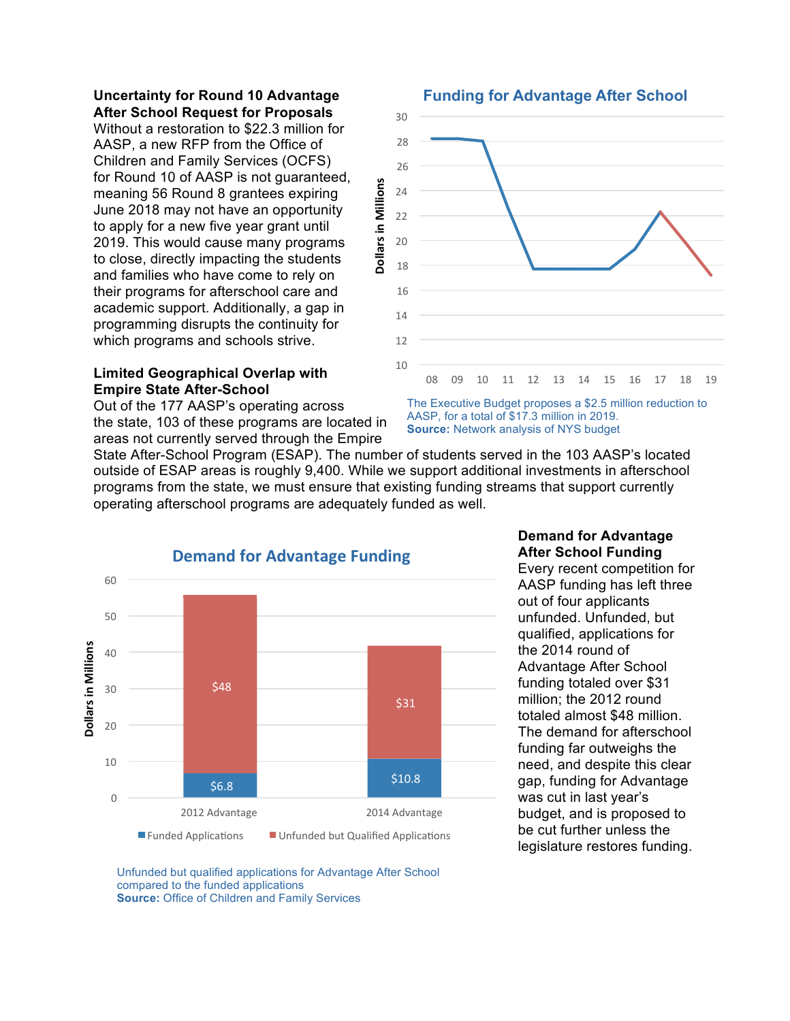### **Uncertainty for Round 10 Advantage After School Request for Proposals**

Without a restoration to \$22.3 million for AASP, a new RFP from the Office of Children and Family Services (OCFS) for Round 10 of AASP is not guaranteed, meaning 56 Round 8 grantees expiring June 2018 may not have an opportunity to apply for a new five year grant until 2019. This would cause many programs to close, directly impacting the students and families who have come to rely on their programs for afterschool care and academic support. Additionally, a gap in programming disrupts the continuity for which programs and schools strive.

### **Limited Geographical Overlap with Empire State After-School**

Out of the 177 AASP's operating across the state, 103 of these programs are located in areas not currently served through the Empire



The Executive Budget proposes a \$2.5 million reduction to AASP, for a total of \$17.3 million in 2019.

**Source:** Network analysis of NYS budget

State After-School Program (ESAP). The number of students served in the 103 AASP's located outside of ESAP areas is roughly 9,400. While we support additional investments in afterschool programs from the state, we must ensure that existing funding streams that support currently operating afterschool programs are adequately funded as well.



## **Demand for Advantage After School Funding**

Every recent competition for AASP funding has left three out of four applicants unfunded. Unfunded, but qualified, applications for the 2014 round of Advantage After School funding totaled over \$31 million; the 2012 round totaled almost \$48 million. The demand for afterschool funding far outweighs the need, and despite this clear gap, funding for Advantage was cut in last year's budget, and is proposed to be cut further unless the legislature restores funding.

Unfunded but qualified applications for Advantage After School compared to the funded applications **Source:** Office of Children and Family Services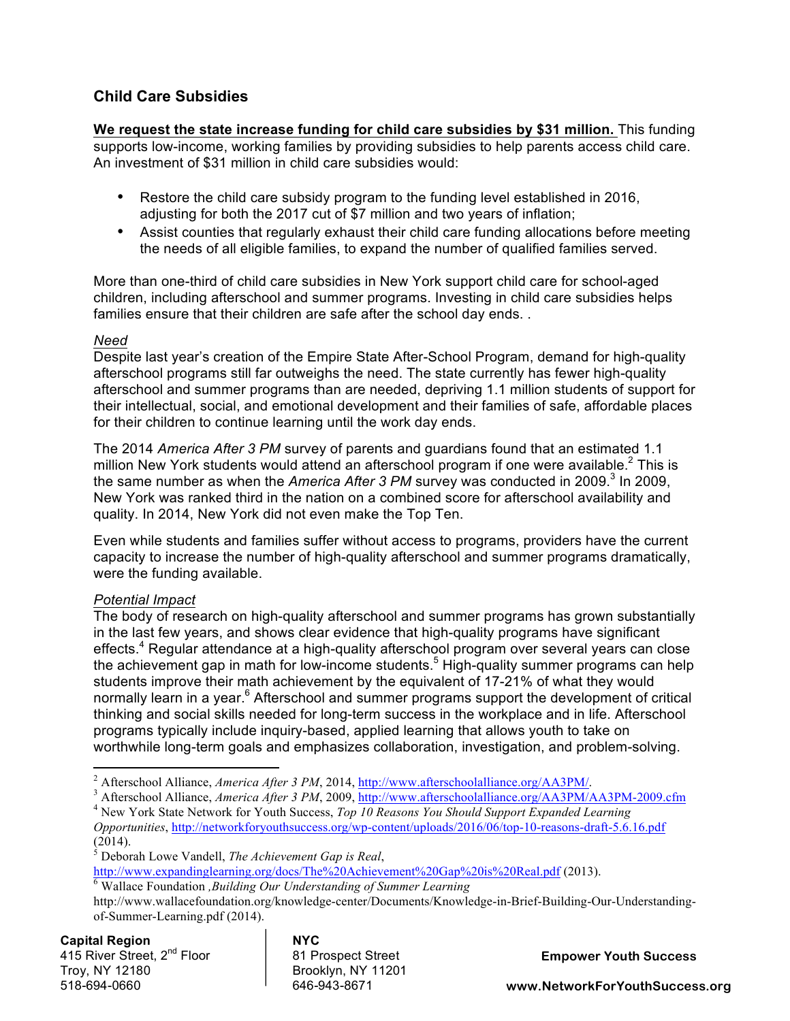## **Child Care Subsidies**

**We request the state increase funding for child care subsidies by \$31 million.** This funding supports low-income, working families by providing subsidies to help parents access child care. An investment of \$31 million in child care subsidies would:

- Restore the child care subsidy program to the funding level established in 2016, adjusting for both the 2017 cut of \$7 million and two years of inflation;
- Assist counties that regularly exhaust their child care funding allocations before meeting the needs of all eligible families, to expand the number of qualified families served.

More than one-third of child care subsidies in New York support child care for school-aged children, including afterschool and summer programs. Investing in child care subsidies helps families ensure that their children are safe after the school day ends. .

## *Need*

Despite last year's creation of the Empire State After-School Program, demand for high-quality afterschool programs still far outweighs the need. The state currently has fewer high-quality afterschool and summer programs than are needed, depriving 1.1 million students of support for their intellectual, social, and emotional development and their families of safe, affordable places for their children to continue learning until the work day ends.

The 2014 *America After 3 PM* survey of parents and guardians found that an estimated 1.1 million New York students would attend an afterschool program if one were available. $<sup>2</sup>$  This is</sup> the same number as when the *America After 3 PM* survey was conducted in 2009.<sup>3</sup> In 2009, New York was ranked third in the nation on a combined score for afterschool availability and quality. In 2014, New York did not even make the Top Ten.

Even while students and families suffer without access to programs, providers have the current capacity to increase the number of high-quality afterschool and summer programs dramatically, were the funding available.

## *Potential Impact*

The body of research on high-quality afterschool and summer programs has grown substantially in the last few years, and shows clear evidence that high-quality programs have significant effects.<sup>4</sup> Regular attendance at a high-quality afterschool program over several years can close the achievement gap in math for low-income students.<sup>5</sup> High-quality summer programs can help students improve their math achievement by the equivalent of 17-21% of what they would normally learn in a year.<sup>6</sup> Afterschool and summer programs support the development of critical thinking and social skills needed for long-term success in the workplace and in life. Afterschool programs typically include inquiry-based, applied learning that allows youth to take on worthwhile long-term goals and emphasizes collaboration, investigation, and problem-solving.

 

**Capital Region NYC** 415 River Street, 2<sup>nd</sup> Floor 181 Prospect Street Troy, NY 12180 Brooklyn, NY 11201 518-694-0660

**Empower Youth Success**

<sup>&</sup>lt;sup>2</sup> Afterschool Alliance, *America After 3 PM*, 2014,  $\frac{http://www.afterschoolalliance.org/AA3PM/}{http://www.afterschoolalliance.org/AA3PM/}.$ <br><sup>3</sup> Afterschool Alliance, *America After 3 PM*, 2009,  $\frac{http://www.afterschoolalliance.org/AA3PM/AA3PM-2009.cfm}{\text{New York State Network for Youth Success}, Top 10 Reasons You Should Support Expanded Learning}$ 

*Opportunities*, http://networkforyouthsuccess.org/wp-content/uploads/2016/06/top-10-reasons-draft-5.6.16.pdf (2014).

<sup>5</sup> Deborah Lowe Vandell, *The Achievement Gap is Real*,

http://www.expandinglearning.org/docs/The%20Achievement%20Gap%20is%20Real.pdf (2013). <sup>6</sup> Wallace Foundation *,Building Our Understanding of Summer Learning* 

http://www.wallacefoundation.org/knowledge-center/Documents/Knowledge-in-Brief-Building-Our-Understandingof-Summer-Learning.pdf (2014).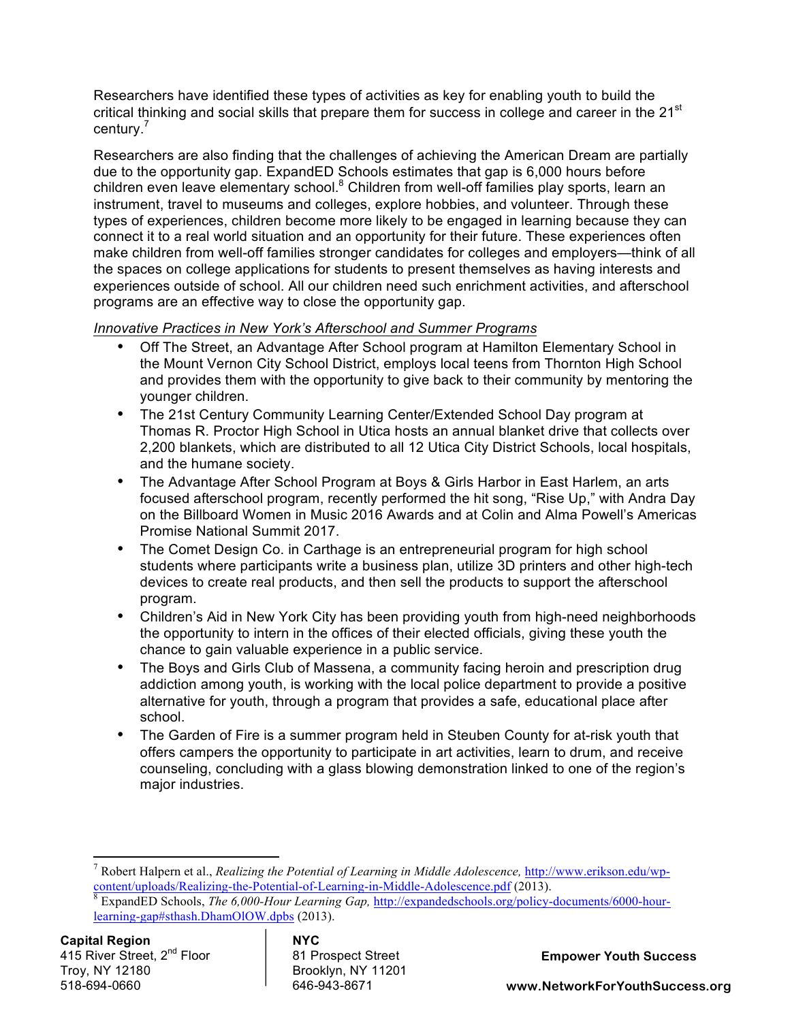Researchers have identified these types of activities as key for enabling youth to build the critical thinking and social skills that prepare them for success in college and career in the  $21<sup>st</sup>$ century.<sup>7</sup>

Researchers are also finding that the challenges of achieving the American Dream are partially due to the opportunity gap. ExpandED Schools estimates that gap is 6,000 hours before children even leave elementary school.<sup>8</sup> Children from well-off families play sports, learn an instrument, travel to museums and colleges, explore hobbies, and volunteer. Through these types of experiences, children become more likely to be engaged in learning because they can connect it to a real world situation and an opportunity for their future. These experiences often make children from well-off families stronger candidates for colleges and employers—think of all the spaces on college applications for students to present themselves as having interests and experiences outside of school. All our children need such enrichment activities, and afterschool programs are an effective way to close the opportunity gap.

## *Innovative Practices in New York's Afterschool and Summer Programs*

- Off The Street, an Advantage After School program at Hamilton Elementary School in the Mount Vernon City School District, employs local teens from Thornton High School and provides them with the opportunity to give back to their community by mentoring the younger children.
- The 21st Century Community Learning Center/Extended School Day program at Thomas R. Proctor High School in Utica hosts an annual blanket drive that collects over 2,200 blankets, which are distributed to all 12 Utica City District Schools, local hospitals, and the humane society.
- The Advantage After School Program at Boys & Girls Harbor in East Harlem, an arts focused afterschool program, recently performed the hit song, "Rise Up," with Andra Day on the Billboard Women in Music 2016 Awards and at Colin and Alma Powell's Americas Promise National Summit 2017.
- The Comet Design Co. in Carthage is an entrepreneurial program for high school students where participants write a business plan, utilize 3D printers and other high-tech devices to create real products, and then sell the products to support the afterschool program.
- Children's Aid in New York City has been providing youth from high-need neighborhoods the opportunity to intern in the offices of their elected officials, giving these youth the chance to gain valuable experience in a public service.
- The Boys and Girls Club of Massena, a community facing heroin and prescription drug addiction among youth, is working with the local police department to provide a positive alternative for youth, through a program that provides a safe, educational place after school.
- The Garden of Fire is a summer program held in Steuben County for at-risk youth that offers campers the opportunity to participate in art activities, learn to drum, and receive counseling, concluding with a glass blowing demonstration linked to one of the region's major industries.

<u> 1989 - Jan Samuel Barbara, político establecido de la provincia de la provincia de la provincia de la provinci</u>

**Empower Youth Success**

<sup>&</sup>lt;sup>7</sup> Robert Halpern et al., *Realizing the Potential of Learning in Middle Adolescence*, *http://www.erikson.edu/wp-*content/uploads/Realizing-the-Potential-of-Learning-in-Middle-Adolescence.pdf (2013).

<sup>&</sup>lt;sup>8</sup> ExpandED Schools, *The 6,000-Hour Learning Gap*, http://expandedschools.org/policy-documents/6000-hourlearning-gap#sthash.DhamOlOW.dpbs (2013).